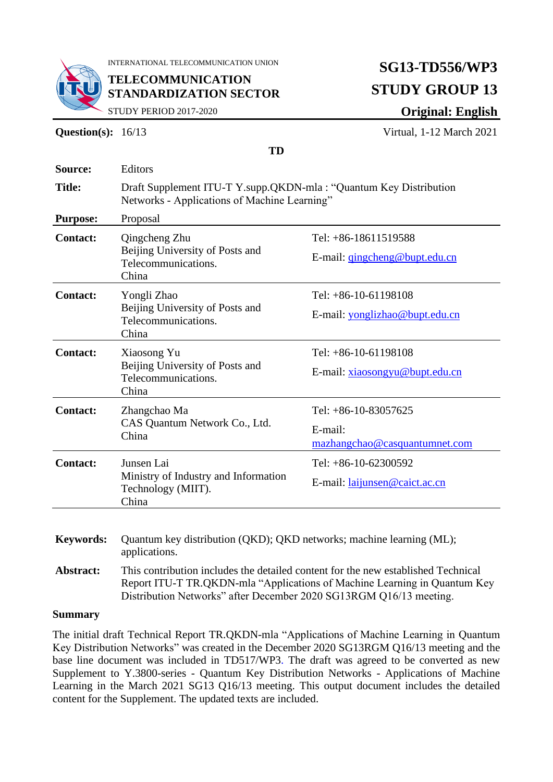

INTERNATIONAL TELECOMMUNICATION UNION

**TELECOMMUNICATION STANDARDIZATION SECTOR**

# **SG13-TD556/WP3 STUDY GROUP 13**

STUDY PERIOD 2017-2020

**Question(s):** 16/13 Virtual, 1-12 March 2021

**Original: English**

|                 | ıν                                                                                                                |                                      |
|-----------------|-------------------------------------------------------------------------------------------------------------------|--------------------------------------|
| Source:         | Editors                                                                                                           |                                      |
| <b>Title:</b>   | Draft Supplement ITU-T Y.supp.QKDN-mla: "Quantum Key Distribution<br>Networks - Applications of Machine Learning" |                                      |
| <b>Purpose:</b> | Proposal                                                                                                          |                                      |
| <b>Contact:</b> | Qingcheng Zhu<br>Beijing University of Posts and<br>Telecommunications.<br>China                                  | Tel: +86-18611519588                 |
|                 |                                                                                                                   | E-mail: gingcheng@bupt.edu.cn        |
| <b>Contact:</b> | Yongli Zhao<br>Beijing University of Posts and<br>Telecommunications.<br>China                                    | Tel: $+86-10-61198108$               |
|                 |                                                                                                                   | E-mail: yonglizhao@bupt.edu.cn       |
| <b>Contact:</b> | Xiaosong Yu<br>Beijing University of Posts and<br>Telecommunications.<br>China                                    | Tel: $+86-10-61198108$               |
|                 |                                                                                                                   | E-mail: xiaosongyu@bupt.edu.cn       |
| <b>Contact:</b> | Zhangchao Ma<br>CAS Quantum Network Co., Ltd.<br>China                                                            | Tel: $+86-10-83057625$               |
|                 |                                                                                                                   | E-mail:                              |
|                 |                                                                                                                   | mazhangchao@casquantumnet.com        |
| <b>Contact:</b> | Junsen Lai<br>Ministry of Industry and Information<br>Technology (MIIT).<br>China                                 | Tel: $+86-10-62300592$               |
|                 |                                                                                                                   | E-mail: <i>laijunsen@caict.ac.cn</i> |

**TD** 

**Keywords:** Quantum key distribution (QKD); QKD networks; machine learning (ML); applications. **Abstract:** This contribution includes the detailed content for the new established Technical

Report ITU-T TR.QKDN-mla "Applications of Machine Learning in Quantum Key Distribution Networks" after December 2020 SG13RGM Q16/13 meeting.

#### **Summary**

The initial draft Technical Report TR.QKDN-mla "Applications of Machine Learning in Quantum Key Distribution Networks" was created in the December 2020 SG13RGM Q16/13 meeting and the base line document was included in TD517/WP3. The draft was agreed to be converted as new Supplement to Y.3800-series - Quantum Key Distribution Networks - Applications of Machine Learning in the March 2021 SG13 Q16/13 meeting. This output document includes the detailed content for the Supplement. The updated texts are included.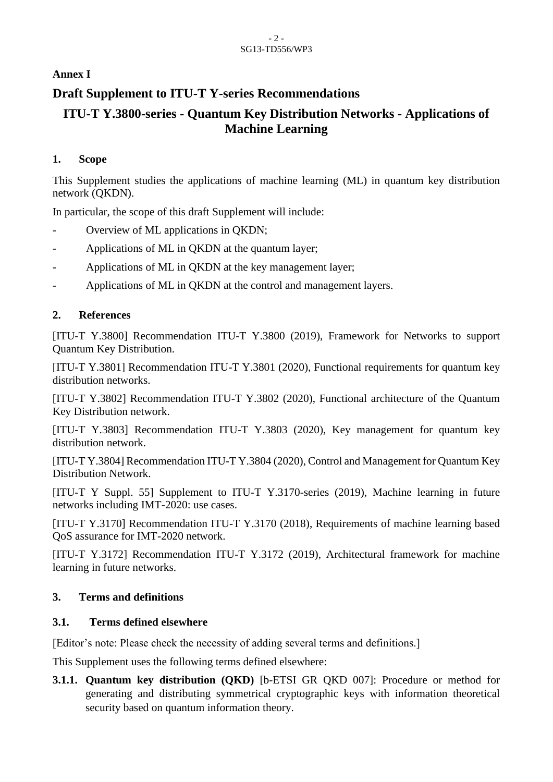#### - 2 - SG13-TD556/WP3

## **Annex I**

# **Draft Supplement to ITU-T Y-series Recommendations**

# **ITU-T Y.3800-series - Quantum Key Distribution Networks - Applications of Machine Learning**

#### **1. Scope**

This Supplement studies the applications of machine learning (ML) in quantum key distribution network (QKDN).

In particular, the scope of this draft Supplement will include:

- Overview of ML applications in QKDN;
- Applications of ML in QKDN at the quantum layer;
- Applications of ML in QKDN at the key management layer;
- Applications of ML in QKDN at the control and management layers.

# **2. References**

[ITU-T Y.3800] Recommendation ITU-T Y.3800 (2019), Framework for Networks to support Quantum Key Distribution.

[ITU-T Y.3801] Recommendation ITU-T Y.3801 (2020), Functional requirements for quantum key distribution networks.

[ITU-T Y.3802] Recommendation ITU-T Y.3802 (2020), Functional architecture of the Quantum Key Distribution network.

[ITU-T Y.3803] Recommendation ITU-T Y.3803 (2020), Key management for quantum key distribution network.

[ITU-T Y.3804] Recommendation ITU-T Y.3804 (2020), Control and Management for Quantum Key Distribution Network.

[ITU-T Y Suppl. 55] Supplement to ITU-T Y.3170-series (2019), Machine learning in future networks including IMT-2020: use cases.

[ITU-T Y.3170] Recommendation ITU-T Y.3170 (2018), Requirements of machine learning based QoS assurance for IMT-2020 network.

[ITU-T Y.3172] Recommendation ITU-T Y.3172 (2019), Architectural framework for machine learning in future networks.

## **3. Terms and definitions**

## **3.1. Terms defined elsewhere**

[Editor's note: Please check the necessity of adding several terms and definitions.]

This Supplement uses the following terms defined elsewhere:

**3.1.1. Quantum key distribution (QKD)** [b-ETSI GR QKD 007]: Procedure or method for generating and distributing symmetrical cryptographic keys with information theoretical security based on quantum information theory.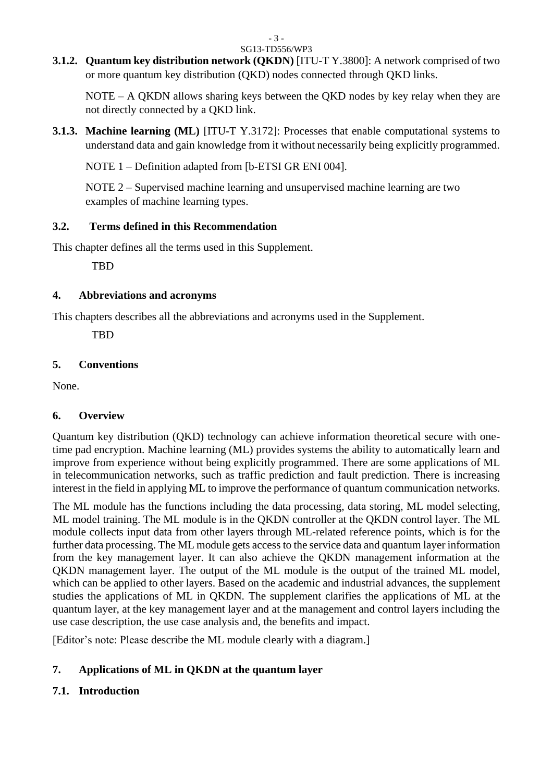# **3.1.2. Quantum key distribution network (QKDN)** [ITU-T Y.3800]: A network comprised of two

or more quantum key distribution (QKD) nodes connected through QKD links.

NOTE – A QKDN allows sharing keys between the QKD nodes by key relay when they are not directly connected by a QKD link.

**3.1.3. Machine learning (ML)** [ITU-T Y.3172]: Processes that enable computational systems to understand data and gain knowledge from it without necessarily being explicitly programmed.

NOTE 1 – Definition adapted from [b-ETSI GR ENI 004].

NOTE 2 – Supervised machine learning and unsupervised machine learning are two examples of machine learning types.

# **3.2. Terms defined in this Recommendation**

This chapter defines all the terms used in this Supplement.

TBD

# **4. Abbreviations and acronyms**

This chapters describes all the abbreviations and acronyms used in the Supplement.

TBD

# **5. Conventions**

None.

# **6. Overview**

Quantum key distribution (QKD) technology can achieve information theoretical secure with onetime pad encryption. Machine learning (ML) provides systems the ability to automatically learn and improve from experience without being explicitly programmed. There are some applications of ML in telecommunication networks, such as traffic prediction and fault prediction. There is increasing interest in the field in applying ML to improve the performance of quantum communication networks.

The ML module has the functions including the data processing, data storing, ML model selecting, ML model training. The ML module is in the QKDN controller at the QKDN control layer. The ML module collects input data from other layers through ML-related reference points, which is for the further data processing. The ML module gets access to the service data and quantum layer information from the key management layer. It can also achieve the QKDN management information at the QKDN management layer. The output of the ML module is the output of the trained ML model, which can be applied to other layers. Based on the academic and industrial advances, the supplement studies the applications of ML in QKDN. The supplement clarifies the applications of ML at the quantum layer, at the key management layer and at the management and control layers including the use case description, the use case analysis and, the benefits and impact.

[Editor's note: Please describe the ML module clearly with a diagram.]

# **7. Applications of ML in QKDN at the quantum layer**

# **7.1. Introduction**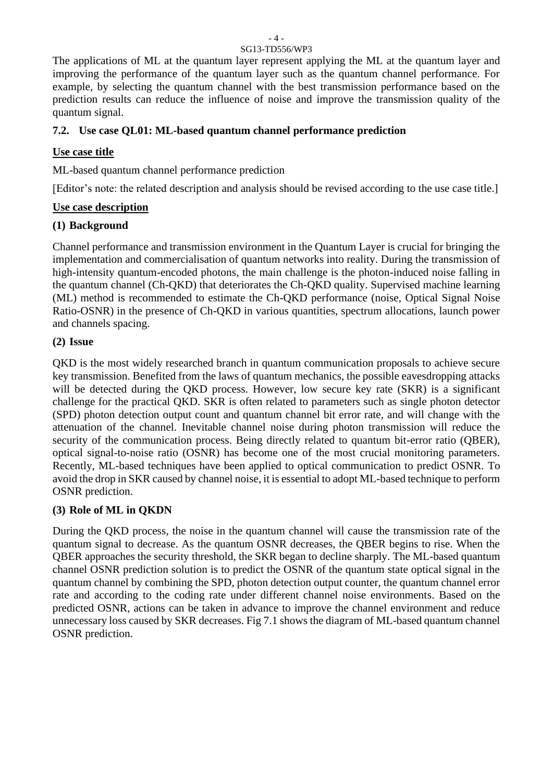The applications of ML at the quantum layer represent applying the ML at the quantum layer and improving the performance of the quantum layer such as the quantum channel performance. For example, by selecting the quantum channel with the best transmission performance based on the prediction results can reduce the influence of noise and improve the transmission quality of the quantum signal.

#### **7.2. Use case QL01: ML-based quantum channel performance prediction**

#### **Use case title**

ML-based quantum channel performance prediction

[Editor's note: the related description and analysis should be revised according to the use case title.]

#### **Use case description**

## **(1) Background**

Channel performance and transmission environment in the Quantum Layer is crucial for bringing the implementation and commercialisation of quantum networks into reality. During the transmission of high-intensity quantum-encoded photons, the main challenge is the photon-induced noise falling in the quantum channel (Ch-QKD) that deteriorates the Ch-QKD quality. Supervised machine learning (ML) method is recommended to estimate the Ch-QKD performance (noise, Optical Signal Noise Ratio-OSNR) in the presence of Ch-QKD in various quantities, spectrum allocations, launch power and channels spacing.

#### **(2) Issue**

QKD is the most widely researched branch in quantum communication proposals to achieve secure key transmission. Benefited from the laws of quantum mechanics, the possible eavesdropping attacks will be detected during the QKD process. However, low secure key rate (SKR) is a significant challenge for the practical QKD. SKR is often related to parameters such as single photon detector (SPD) photon detection output count and quantum channel bit error rate, and will change with the attenuation of the channel. Inevitable channel noise during photon transmission will reduce the security of the communication process. Being directly related to quantum bit-error ratio (QBER), optical signal-to-noise ratio (OSNR) has become one of the most crucial monitoring parameters. Recently, ML-based techniques have been applied to optical communication to predict OSNR. To avoid the drop in SKR caused by channel noise, it is essential to adopt ML-based technique to perform OSNR prediction.

#### **(3) Role of ML in QKDN**

During the QKD process, the noise in the quantum channel will cause the transmission rate of the quantum signal to decrease. As the quantum OSNR decreases, the QBER begins to rise. When the QBER approaches the security threshold, the SKR began to decline sharply. The ML-based quantum channel OSNR prediction solution is to predict the OSNR of the quantum state optical signal in the quantum channel by combining the SPD, photon detection output counter, the quantum channel error rate and according to the coding rate under different channel noise environments. Based on the predicted OSNR, actions can be taken in advance to improve the channel environment and reduce unnecessary loss caused by SKR decreases. Fig 7.1 shows the diagram of ML-based quantum channel OSNR prediction.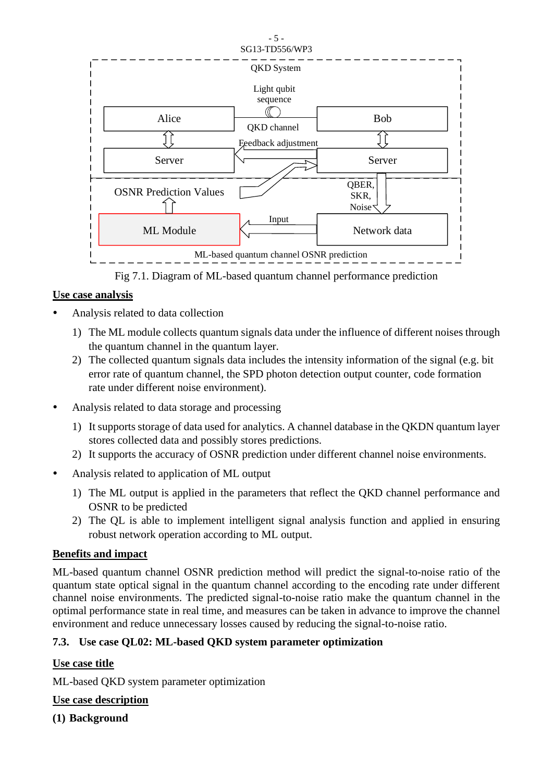

Fig 7.1. Diagram of ML-based quantum channel performance prediction

#### **Use case analysis**

- Analysis related to data collection
	- 1) The ML module collects quantum signals data under the influence of different noises through the quantum channel in the quantum layer.
	- 2) The collected quantum signals data includes the intensity information of the signal (e.g. bit error rate of quantum channel, the SPD photon detection output counter, code formation rate under different noise environment).
- Analysis related to data storage and processing
	- 1) It supports storage of data used for analytics. A channel database in the QKDN quantum layer stores collected data and possibly stores predictions.
	- 2) It supports the accuracy of OSNR prediction under different channel noise environments.
- Analysis related to application of ML output
	- 1) The ML output is applied in the parameters that reflect the QKD channel performance and OSNR to be predicted
	- 2) The QL is able to implement intelligent signal analysis function and applied in ensuring robust network operation according to ML output.

#### **Benefits and impact**

ML-based quantum channel OSNR prediction method will predict the signal-to-noise ratio of the quantum state optical signal in the quantum channel according to the encoding rate under different channel noise environments. The predicted signal-to-noise ratio make the quantum channel in the optimal performance state in real time, and measures can be taken in advance to improve the channel environment and reduce unnecessary losses caused by reducing the signal-to-noise ratio.

#### **7.3. Use case QL02: ML-based QKD system parameter optimization**

#### **Use case title**

ML-based QKD system parameter optimization

#### **Use case description**

**(1) Background**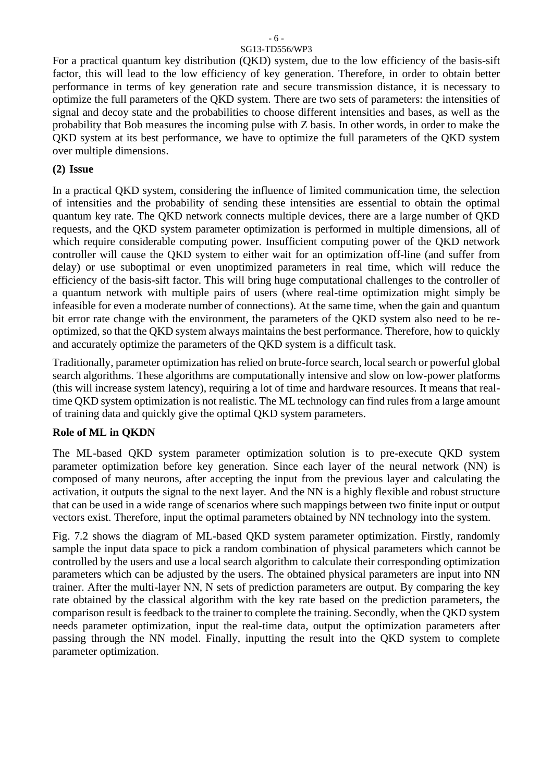For a practical quantum key distribution (QKD) system, due to the low efficiency of the basis-sift factor, this will lead to the low efficiency of key generation. Therefore, in order to obtain better performance in terms of key generation rate and secure transmission distance, it is necessary to optimize the full parameters of the QKD system. There are two sets of parameters: the intensities of signal and decoy state and the probabilities to choose different intensities and bases, as well as the probability that Bob measures the incoming pulse with Z basis. In other words, in order to make the QKD system at its best performance, we have to optimize the full parameters of the QKD system over multiple dimensions.

#### **(2) Issue**

In a practical QKD system, considering the influence of limited communication time, the selection of intensities and the probability of sending these intensities are essential to obtain the optimal quantum key rate. The QKD network connects multiple devices, there are a large number of QKD requests, and the QKD system parameter optimization is performed in multiple dimensions, all of which require considerable computing power. Insufficient computing power of the OKD network controller will cause the QKD system to either wait for an optimization off-line (and suffer from delay) or use suboptimal or even unoptimized parameters in real time, which will reduce the efficiency of the basis-sift factor. This will bring huge computational challenges to the controller of a quantum network with multiple pairs of users (where real-time optimization might simply be infeasible for even a moderate number of connections). At the same time, when the gain and quantum bit error rate change with the environment, the parameters of the QKD system also need to be reoptimized, so that the QKD system always maintains the best performance. Therefore, how to quickly and accurately optimize the parameters of the QKD system is a difficult task.

Traditionally, parameter optimization has relied on brute-force search, local search or powerful global search algorithms. These algorithms are computationally intensive and slow on low-power platforms (this will increase system latency), requiring a lot of time and hardware resources. It means that realtime QKD system optimization is not realistic. The ML technology can find rules from a large amount of training data and quickly give the optimal QKD system parameters.

#### **Role of ML in QKDN**

The ML-based QKD system parameter optimization solution is to pre-execute QKD system parameter optimization before key generation. Since each layer of the neural network (NN) is composed of many neurons, after accepting the input from the previous layer and calculating the activation, it outputs the signal to the next layer. And the NN is a highly flexible and robust structure that can be used in a wide range of scenarios where such mappings between two finite input or output vectors exist. Therefore, input the optimal parameters obtained by NN technology into the system.

Fig. 7.2 shows the diagram of ML-based QKD system parameter optimization. Firstly, randomly sample the input data space to pick a random combination of physical parameters which cannot be controlled by the users and use a local search algorithm to calculate their corresponding optimization parameters which can be adjusted by the users. The obtained physical parameters are input into NN trainer. After the multi-layer NN, N sets of prediction parameters are output. By comparing the key rate obtained by the classical algorithm with the key rate based on the prediction parameters, the comparison result is feedback to the trainer to complete the training. Secondly, when the QKD system needs parameter optimization, input the real-time data, output the optimization parameters after passing through the NN model. Finally, inputting the result into the QKD system to complete parameter optimization.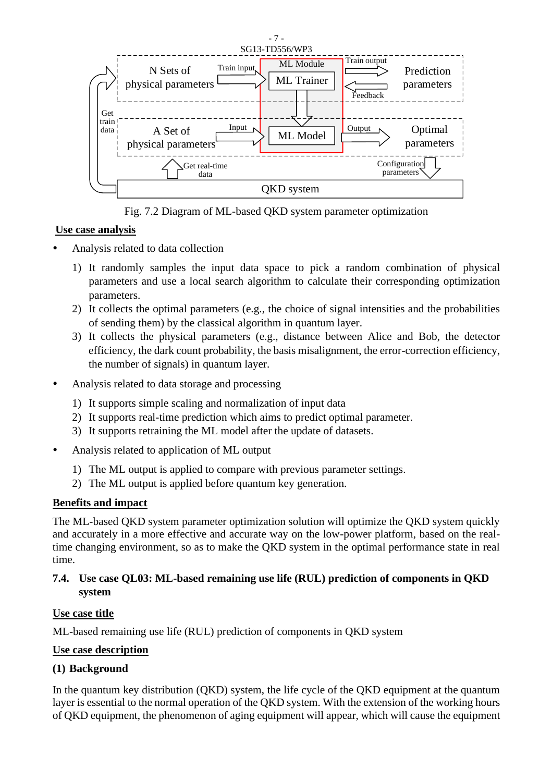

Fig. 7.2 Diagram of ML-based QKD system parameter optimization

#### **Use case analysis**

- Analysis related to data collection
	- 1) It randomly samples the input data space to pick a random combination of physical parameters and use a local search algorithm to calculate their corresponding optimization parameters.
	- 2) It collects the optimal parameters (e.g., the choice of signal intensities and the probabilities of sending them) by the classical algorithm in quantum layer.
	- 3) It collects the physical parameters (e.g., distance between Alice and Bob, the detector efficiency, the dark count probability, the basis misalignment, the error-correction efficiency, the number of signals) in quantum layer.
- Analysis related to data storage and processing
	- 1) It supports simple scaling and normalization of input data
	- 2) It supports real-time prediction which aims to predict optimal parameter.
	- 3) It supports retraining the ML model after the update of datasets.
- Analysis related to application of ML output
	- 1) The ML output is applied to compare with previous parameter settings.
	- 2) The ML output is applied before quantum key generation.

#### **Benefits and impact**

The ML-based QKD system parameter optimization solution will optimize the QKD system quickly and accurately in a more effective and accurate way on the low-power platform, based on the realtime changing environment, so as to make the QKD system in the optimal performance state in real time.

## **7.4. Use case QL03: ML-based remaining use life (RUL) prediction of components in QKD system**

#### **Use case title**

ML-based remaining use life (RUL) prediction of components in QKD system

#### **Use case description**

## **(1) Background**

In the quantum key distribution (QKD) system, the life cycle of the QKD equipment at the quantum layer is essential to the normal operation of the QKD system. With the extension of the working hours of QKD equipment, the phenomenon of aging equipment will appear, which will cause the equipment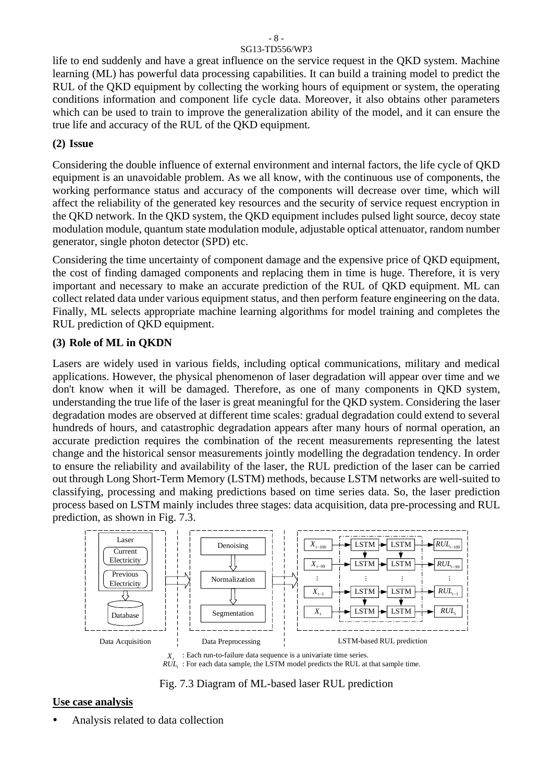life to end suddenly and have a great influence on the service request in the QKD system. Machine learning (ML) has powerful data processing capabilities. It can build a training model to predict the RUL of the QKD equipment by collecting the working hours of equipment or system, the operating conditions information and component life cycle data. Moreover, it also obtains other parameters which can be used to train to improve the generalization ability of the model, and it can ensure the true life and accuracy of the RUL of the QKD equipment.

#### **(2) Issue**

Considering the double influence of external environment and internal factors, the life cycle of QKD equipment is an unavoidable problem. As we all know, with the continuous use of components, the working performance status and accuracy of the components will decrease over time, which will affect the reliability of the generated key resources and the security of service request encryption in the QKD network. In the QKD system, the QKD equipment includes pulsed light source, decoy state modulation module, quantum state modulation module, adjustable optical attenuator, random number generator, single photon detector (SPD) etc.

Considering the time uncertainty of component damage and the expensive price of QKD equipment, the cost of finding damaged components and replacing them in time is huge. Therefore, it is very important and necessary to make an accurate prediction of the RUL of QKD equipment. ML can collect related data under various equipment status, and then perform feature engineering on the data. Finally, ML selects appropriate machine learning algorithms for model training and completes the RUL prediction of QKD equipment.

## **(3) Role of ML in QKDN**

Lasers are widely used in various fields, including optical communications, military and medical applications. However, the physical phenomenon of laser degradation will appear over time and we don't know when it will be damaged. Therefore, as one of many components in QKD system, understanding the true life of the laser is great meaningful for the QKD system. Considering the laser degradation modes are observed at different time scales: gradual degradation could extend to several hundreds of hours, and catastrophic degradation appears after many hours of normal operation, an accurate prediction requires the combination of the recent measurements representing the latest change and the historical sensor measurements jointly modelling the degradation tendency. In order to ensure the reliability and availability of the laser, the RUL prediction of the laser can be carried out through Long Short-Term Memory (LSTM) methods, because LSTM networks are well-suited to classifying, processing and making predictions based on time series data. So, the laser prediction process based on LSTM mainly includes three stages: data acquisition, data pre-processing and RUL prediction, as shown in Fig. 7.3.



 $R\dot{\mathbf{U}}\dot{\mathbf{L}}$ : For each data sample, the LSTM model predicts the RUL at that sample time.

Fig. 7.3 Diagram of ML-based laser RUL prediction

# **Use case analysis**

Analysis related to data collection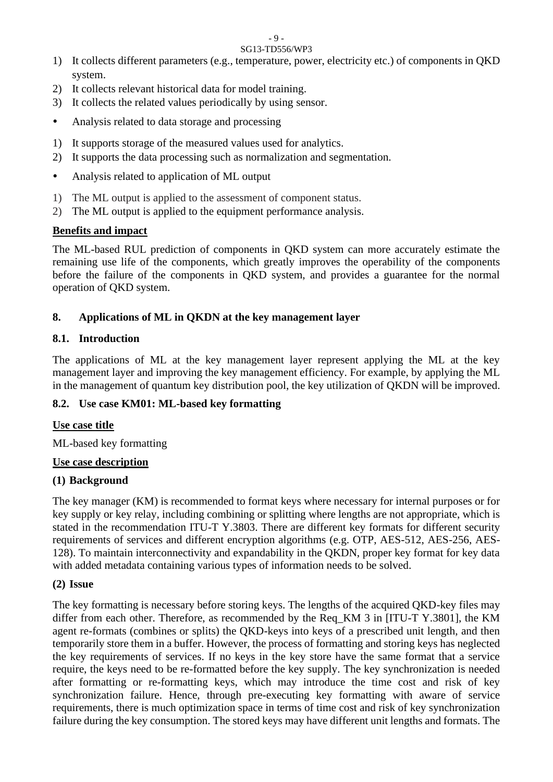- 1) It collects different parameters (e.g., temperature, power, electricity etc.) of components in QKD system.
- 2) It collects relevant historical data for model training.
- 3) It collects the related values periodically by using sensor.
- Analysis related to data storage and processing
- 1) It supports storage of the measured values used for analytics.
- 2) It supports the data processing such as normalization and segmentation.
- Analysis related to application of ML output
- 1) The ML output is applied to the assessment of component status.
- 2) The ML output is applied to the equipment performance analysis.

# **Benefits and impact**

The ML-based RUL prediction of components in QKD system can more accurately estimate the remaining use life of the components, which greatly improves the operability of the components before the failure of the components in QKD system, and provides a guarantee for the normal operation of QKD system.

# **8. Applications of ML in QKDN at the key management layer**

# **8.1. Introduction**

The applications of ML at the key management layer represent applying the ML at the key management layer and improving the key management efficiency. For example, by applying the ML in the management of quantum key distribution pool, the key utilization of QKDN will be improved.

## **8.2. Use case KM01: ML-based key formatting**

## **Use case title**

ML-based key formatting

## **Use case description**

# **(1) Background**

The key manager (KM) is recommended to format keys where necessary for internal purposes or for key supply or key relay, including combining or splitting where lengths are not appropriate, which is stated in the recommendation ITU-T Y.3803. There are different key formats for different security requirements of services and different encryption algorithms (e.g. OTP, AES-512, AES-256, AES-128). To maintain interconnectivity and expandability in the QKDN, proper key format for key data with added metadata containing various types of information needs to be solved.

## **(2) Issue**

The key formatting is necessary before storing keys. The lengths of the acquired QKD-key files may differ from each other. Therefore, as recommended by the Req KM 3 in [ITU-T Y.3801], the KM agent re-formats (combines or splits) the QKD-keys into keys of a prescribed unit length, and then temporarily store them in a buffer. However, the process of formatting and storing keys has neglected the key requirements of services. If no keys in the key store have the same format that a service require, the keys need to be re-formatted before the key supply. The key synchronization is needed after formatting or re-formatting keys, which may introduce the time cost and risk of key synchronization failure. Hence, through pre-executing key formatting with aware of service requirements, there is much optimization space in terms of time cost and risk of key synchronization failure during the key consumption. The stored keys may have different unit lengths and formats. The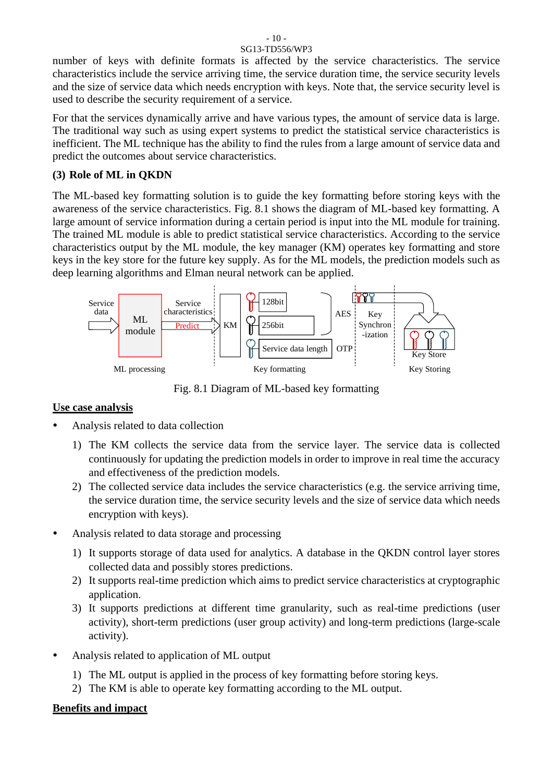number of keys with definite formats is affected by the service characteristics. The service characteristics include the service arriving time, the service duration time, the service security levels and the size of service data which needs encryption with keys. Note that, the service security level is used to describe the security requirement of a service.

For that the services dynamically arrive and have various types, the amount of service data is large. The traditional way such as using expert systems to predict the statistical service characteristics is inefficient. The ML technique has the ability to find the rules from a large amount of service data and predict the outcomes about service characteristics.

#### **(3) Role of ML in QKDN**

The ML-based key formatting solution is to guide the key formatting before storing keys with the awareness of the service characteristics. Fig. 8.1 shows the diagram of ML-based key formatting. A large amount of service information during a certain period is input into the ML module for training. The trained ML module is able to predict statistical service characteristics. According to the service characteristics output by the ML module, the key manager (KM) operates key formatting and store keys in the key store for the future key supply. As for the ML models, the prediction models such as deep learning algorithms and Elman neural network can be applied.



Fig. 8.1 Diagram of ML-based key formatting

#### **Use case analysis**

- Analysis related to data collection
	- 1) The KM collects the service data from the service layer. The service data is collected continuously for updating the prediction models in order to improve in real time the accuracy and effectiveness of the prediction models.
	- 2) The collected service data includes the service characteristics (e.g. the service arriving time, the service duration time, the service security levels and the size of service data which needs encryption with keys).
- Analysis related to data storage and processing
	- 1) It supports storage of data used for analytics. A database in the QKDN control layer stores collected data and possibly stores predictions.
	- 2) It supports real-time prediction which aims to predict service characteristics at cryptographic application.
	- 3) It supports predictions at different time granularity, such as real-time predictions (user activity), short-term predictions (user group activity) and long-term predictions (large-scale activity).
- Analysis related to application of ML output
	- 1) The ML output is applied in the process of key formatting before storing keys.
	- 2) The KM is able to operate key formatting according to the ML output.

#### **Benefits and impact**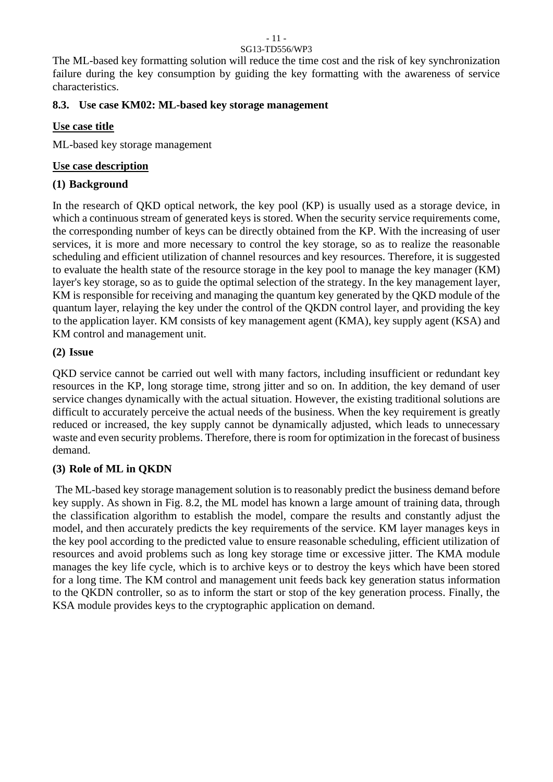#### - 11 - SG13-TD556/WP3

The ML-based key formatting solution will reduce the time cost and the risk of key synchronization failure during the key consumption by guiding the key formatting with the awareness of service characteristics.

#### **8.3. Use case KM02: ML-based key storage management**

#### **Use case title**

ML-based key storage management

#### **Use case description**

## **(1) Background**

In the research of QKD optical network, the key pool (KP) is usually used as a storage device, in which a continuous stream of generated keys is stored. When the security service requirements come, the corresponding number of keys can be directly obtained from the KP. With the increasing of user services, it is more and more necessary to control the key storage, so as to realize the reasonable scheduling and efficient utilization of channel resources and key resources. Therefore, it is suggested to evaluate the health state of the resource storage in the key pool to manage the key manager (KM) layer's key storage, so as to guide the optimal selection of the strategy. In the key management layer, KM is responsible for receiving and managing the quantum key generated by the QKD module of the quantum layer, relaying the key under the control of the QKDN control layer, and providing the key to the application layer. KM consists of key management agent (KMA), key supply agent (KSA) and KM control and management unit.

## **(2) Issue**

QKD service cannot be carried out well with many factors, including insufficient or redundant key resources in the KP, long storage time, strong jitter and so on. In addition, the key demand of user service changes dynamically with the actual situation. However, the existing traditional solutions are difficult to accurately perceive the actual needs of the business. When the key requirement is greatly reduced or increased, the key supply cannot be dynamically adjusted, which leads to unnecessary waste and even security problems. Therefore, there is room for optimization in the forecast of business demand.

#### **(3) Role of ML in QKDN**

The ML-based key storage management solution is to reasonably predict the business demand before key supply. As shown in Fig. 8.2, the ML model has known a large amount of training data, through the classification algorithm to establish the model, compare the results and constantly adjust the model, and then accurately predicts the key requirements of the service. KM layer manages keys in the key pool according to the predicted value to ensure reasonable scheduling, efficient utilization of resources and avoid problems such as long key storage time or excessive jitter. The KMA module manages the key life cycle, which is to archive keys or to destroy the keys which have been stored for a long time. The KM control and management unit feeds back key generation status information to the QKDN controller, so as to inform the start or stop of the key generation process. Finally, the KSA module provides keys to the cryptographic application on demand.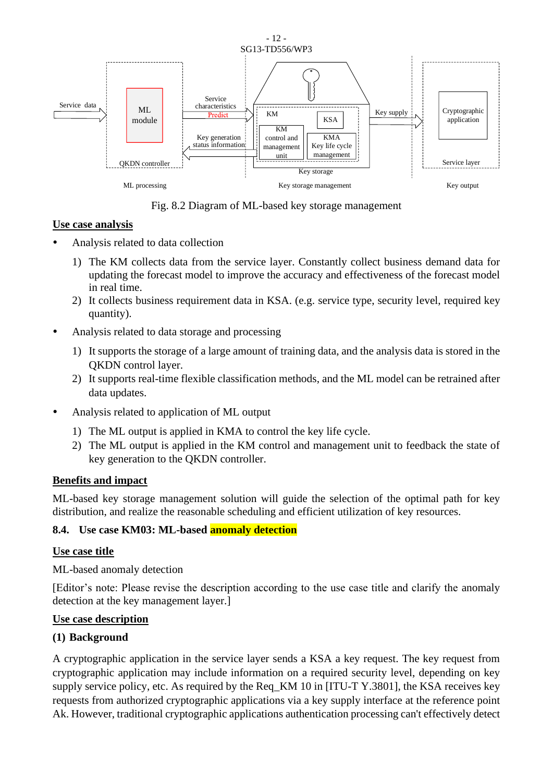

Fig. 8.2 Diagram of ML-based key storage management

#### **Use case analysis**

- Analysis related to data collection
	- 1) The KM collects data from the service layer. Constantly collect business demand data for updating the forecast model to improve the accuracy and effectiveness of the forecast model in real time.
	- 2) It collects business requirement data in KSA. (e.g. service type, security level, required key quantity).
- Analysis related to data storage and processing
	- 1) It supports the storage of a large amount of training data, and the analysis data is stored in the QKDN control layer.
	- 2) It supports real-time flexible classification methods, and the ML model can be retrained after data updates.
- Analysis related to application of ML output
	- 1) The ML output is applied in KMA to control the key life cycle.
	- 2) The ML output is applied in the KM control and management unit to feedback the state of key generation to the QKDN controller.

#### **Benefits and impact**

ML-based key storage management solution will guide the selection of the optimal path for key distribution, and realize the reasonable scheduling and efficient utilization of key resources.

#### **8.4. Use case KM03: ML-based anomaly detection**

#### **Use case title**

ML-based anomaly detection

[Editor's note: Please revise the description according to the use case title and clarify the anomaly detection at the key management layer.]

#### **Use case description**

#### **(1) Background**

A cryptographic application in the service layer sends a KSA a key request. The key request from cryptographic application may include information on a required security level, depending on key supply service policy, etc. As required by the Req\_KM 10 in [ITU-T Y.3801], the KSA receives key requests from authorized cryptographic applications via a key supply interface at the reference point Ak. However, traditional cryptographic applications authentication processing can't effectively detect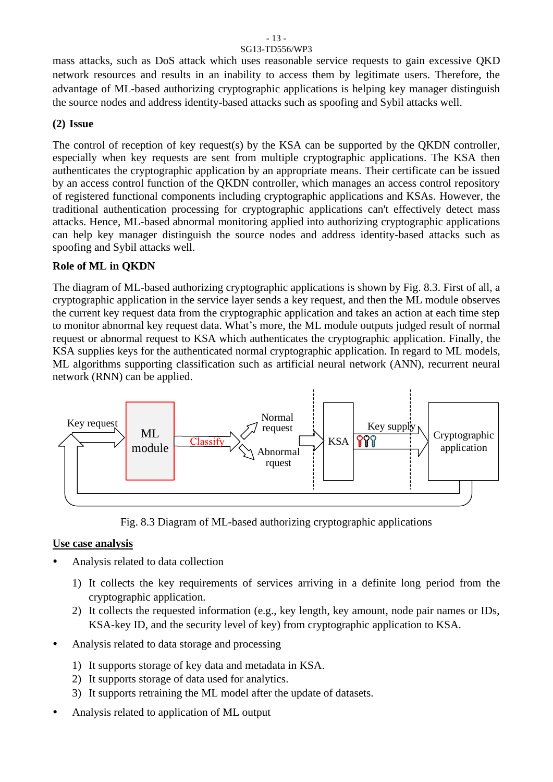mass attacks, such as DoS attack which uses reasonable service requests to gain excessive QKD network resources and results in an inability to access them by legitimate users. Therefore, the advantage of ML-based authorizing cryptographic applications is helping key manager distinguish the source nodes and address identity-based attacks such as spoofing and Sybil attacks well.

#### **(2) Issue**

The control of reception of key request(s) by the KSA can be supported by the QKDN controller, especially when key requests are sent from multiple cryptographic applications. The KSA then authenticates the cryptographic application by an appropriate means. Their certificate can be issued by an access control function of the QKDN controller, which manages an access control repository of registered functional components including cryptographic applications and KSAs. However, the traditional authentication processing for cryptographic applications can't effectively detect mass attacks. Hence, ML-based abnormal monitoring applied into authorizing cryptographic applications can help key manager distinguish the source nodes and address identity-based attacks such as spoofing and Sybil attacks well.

#### **Role of ML in QKDN**

The diagram of ML-based authorizing cryptographic applications is shown by Fig. 8.3. First of all, a cryptographic application in the service layer sends a key request, and then the ML module observes the current key request data from the cryptographic application and takes an action at each time step to monitor abnormal key request data. What's more, the ML module outputs judged result of normal request or abnormal request to KSA which authenticates the cryptographic application. Finally, the KSA supplies keys for the authenticated normal cryptographic application. In regard to ML models, ML algorithms supporting classification such as artificial neural network (ANN), recurrent neural network (RNN) can be applied.



Fig. 8.3 Diagram of ML-based authorizing cryptographic applications

#### **Use case analysis**

- Analysis related to data collection
	- 1) It collects the key requirements of services arriving in a definite long period from the cryptographic application.
	- 2) It collects the requested information (e.g., key length, key amount, node pair names or IDs, KSA-key ID, and the security level of key) from cryptographic application to KSA.
- Analysis related to data storage and processing
	- 1) It supports storage of key data and metadata in KSA.
	- 2) It supports storage of data used for analytics.
	- 3) It supports retraining the ML model after the update of datasets.
- Analysis related to application of ML output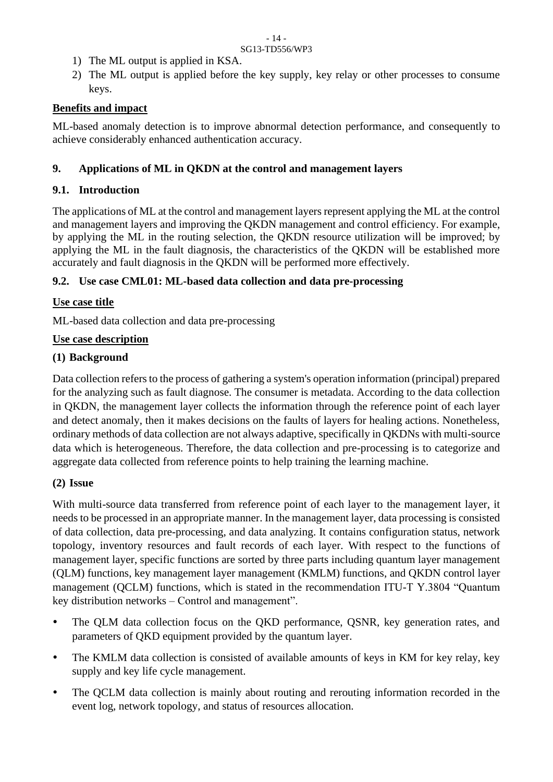- 1) The ML output is applied in KSA.
- 2) The ML output is applied before the key supply, key relay or other processes to consume keys.

## **Benefits and impact**

ML-based anomaly detection is to improve abnormal detection performance, and consequently to achieve considerably enhanced authentication accuracy.

## **9. Applications of ML in QKDN at the control and management layers**

## **9.1. Introduction**

The applications of ML at the control and management layers represent applying the ML at the control and management layers and improving the QKDN management and control efficiency. For example, by applying the ML in the routing selection, the QKDN resource utilization will be improved; by applying the ML in the fault diagnosis, the characteristics of the QKDN will be established more accurately and fault diagnosis in the QKDN will be performed more effectively.

## **9.2. Use case CML01: ML-based data collection and data pre-processing**

## **Use case title**

ML-based data collection and data pre-processing

## **Use case description**

## **(1) Background**

Data collection refers to the process of gathering a system's operation information (principal) prepared for the analyzing such as fault diagnose. The consumer is metadata. According to the data collection in QKDN, the management layer collects the information through the reference point of each layer and detect anomaly, then it makes decisions on the faults of layers for healing actions. Nonetheless, ordinary methods of data collection are not always adaptive, specifically in QKDNs with multi-source data which is heterogeneous. Therefore, the data collection and pre-processing is to categorize and aggregate data collected from reference points to help training the learning machine.

#### **(2) Issue**

With multi-source data transferred from reference point of each layer to the management layer, it needs to be processed in an appropriate manner. In the management layer, data processing is consisted of data collection, data pre-processing, and data analyzing. It contains configuration status, network topology, inventory resources and fault records of each layer. With respect to the functions of management layer, specific functions are sorted by three parts including quantum layer management (QLM) functions, key management layer management (KMLM) functions, and QKDN control layer management (QCLM) functions, which is stated in the recommendation ITU-T Y.3804 "Quantum key distribution networks – Control and management".

- The QLM data collection focus on the QKD performance, QSNR, key generation rates, and parameters of QKD equipment provided by the quantum layer.
- The KMLM data collection is consisted of available amounts of keys in KM for key relay, key supply and key life cycle management.
- The QCLM data collection is mainly about routing and rerouting information recorded in the event log, network topology, and status of resources allocation.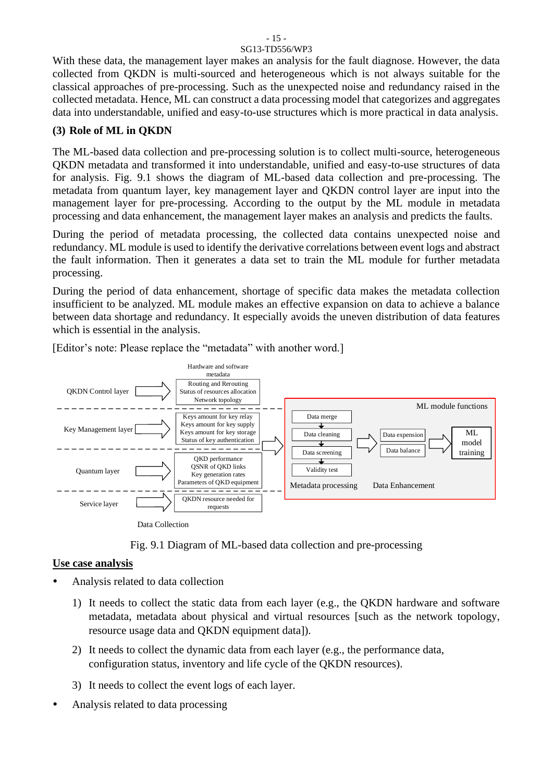# - 15 -

#### SG13-TD556/WP3

With these data, the management layer makes an analysis for the fault diagnose. However, the data collected from QKDN is multi-sourced and heterogeneous which is not always suitable for the classical approaches of pre-processing. Such as the unexpected noise and redundancy raised in the collected metadata. Hence, ML can construct a data processing model that categorizes and aggregates data into understandable, unified and easy-to-use structures which is more practical in data analysis.

#### **(3) Role of ML in QKDN**

The ML-based data collection and pre-processing solution is to collect multi-source, heterogeneous QKDN metadata and transformed it into understandable, unified and easy-to-use structures of data for analysis. Fig. 9.1 shows the diagram of ML-based data collection and pre-processing. The metadata from quantum layer, key management layer and QKDN control layer are input into the management layer for pre-processing. According to the output by the ML module in metadata processing and data enhancement, the management layer makes an analysis and predicts the faults.

During the period of metadata processing, the collected data contains unexpected noise and redundancy. ML module is used to identify the derivative correlations between event logs and abstract the fault information. Then it generates a data set to train the ML module for further metadata processing.

During the period of data enhancement, shortage of specific data makes the metadata collection insufficient to be analyzed. ML module makes an effective expansion on data to achieve a balance between data shortage and redundancy. It especially avoids the uneven distribution of data features which is essential in the analysis.



[Editor's note: Please replace the "metadata" with another word.]

Fig. 9.1 Diagram of ML-based data collection and pre-processing

#### **Use case analysis**

- Analysis related to data collection
	- 1) It needs to collect the static data from each layer (e.g., the QKDN hardware and software metadata, metadata about physical and virtual resources [such as the network topology, resource usage data and QKDN equipment data]).
	- 2) It needs to collect the dynamic data from each layer (e.g., the performance data, configuration status, inventory and life cycle of the QKDN resources).
	- 3) It needs to collect the event logs of each layer.
- Analysis related to data processing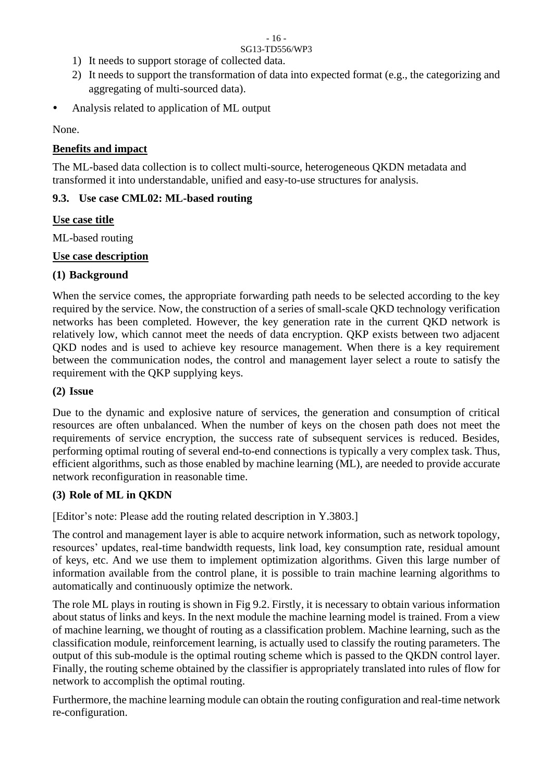- 1) It needs to support storage of collected data.
- 2) It needs to support the transformation of data into expected format (e.g., the categorizing and aggregating of multi-sourced data).
- Analysis related to application of ML output

None.

# **Benefits and impact**

The ML-based data collection is to collect multi-source, heterogeneous QKDN metadata and transformed it into understandable, unified and easy-to-use structures for analysis.

# **9.3. Use case CML02: ML-based routing**

# **Use case title**

ML-based routing

# **Use case description**

# **(1) Background**

When the service comes, the appropriate forwarding path needs to be selected according to the key required by the service. Now, the construction of a series of small-scale QKD technology verification networks has been completed. However, the key generation rate in the current QKD network is relatively low, which cannot meet the needs of data encryption. QKP exists between two adjacent QKD nodes and is used to achieve key resource management. When there is a key requirement between the communication nodes, the control and management layer select a route to satisfy the requirement with the QKP supplying keys.

# **(2) Issue**

Due to the dynamic and explosive nature of services, the generation and consumption of critical resources are often unbalanced. When the number of keys on the chosen path does not meet the requirements of service encryption, the success rate of subsequent services is reduced. Besides, performing optimal routing of several end-to-end connections is typically a very complex task. Thus, efficient algorithms, such as those enabled by machine learning (ML), are needed to provide accurate network reconfiguration in reasonable time.

# **(3) Role of ML in QKDN**

[Editor's note: Please add the routing related description in Y.3803.]

The control and management layer is able to acquire network information, such as network topology, resources' updates, real-time bandwidth requests, link load, key consumption rate, residual amount of keys, etc. And we use them to implement optimization algorithms. Given this large number of information available from the control plane, it is possible to train machine learning algorithms to automatically and continuously optimize the network.

The role ML plays in routing is shown in Fig 9.2. Firstly, it is necessary to obtain various information about status of links and keys. In the next module the machine learning model is trained. From a view of machine learning, we thought of routing as a classification problem. Machine learning, such as the classification module, reinforcement learning, is actually used to classify the routing parameters. The output of this sub-module is the optimal routing scheme which is passed to the QKDN control layer. Finally, the routing scheme obtained by the classifier is appropriately translated into rules of flow for network to accomplish the optimal routing.

Furthermore, the machine learning module can obtain the routing configuration and real-time network re-configuration.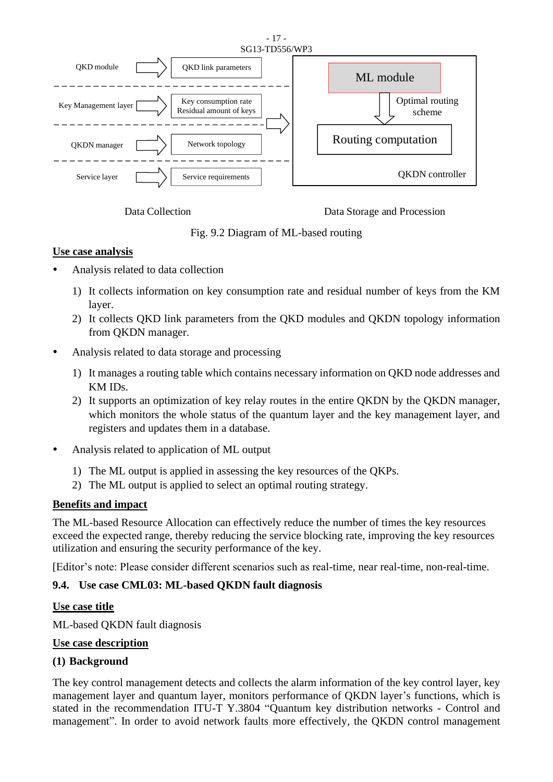

Data Collection Data Storage and Procession

Fig. 9.2 Diagram of ML-based routing

#### **Use case analysis**

- Analysis related to data collection
	- 1) It collects information on key consumption rate and residual number of keys from the KM layer.
	- 2) It collects QKD link parameters from the QKD modules and QKDN topology information from QKDN manager.
- Analysis related to data storage and processing
	- 1) It manages a routing table which contains necessary information on QKD node addresses and KM IDs.
	- 2) It supports an optimization of key relay routes in the entire QKDN by the QKDN manager, which monitors the whole status of the quantum layer and the key management layer, and registers and updates them in a database.
- Analysis related to application of ML output
	- 1) The ML output is applied in assessing the key resources of the QKPs.
	- 2) The ML output is applied to select an optimal routing strategy.

#### **Benefits and impact**

The ML-based Resource Allocation can effectively reduce the number of times the key resources exceed the expected range, thereby reducing the service blocking rate, improving the key resources utilization and ensuring the security performance of the key.

[Editor's note: Please consider different scenarios such as real-time, near real-time, non-real-time.

## **9.4. Use case CML03: ML-based QKDN fault diagnosis**

#### **Use case title**

ML-based QKDN fault diagnosis

#### **Use case description**

## **(1) Background**

The key control management detects and collects the alarm information of the key control layer, key management layer and quantum layer, monitors performance of QKDN layer's functions, which is stated in the recommendation ITU-T Y.3804 "Quantum key distribution networks - Control and management". In order to avoid network faults more effectively, the QKDN control management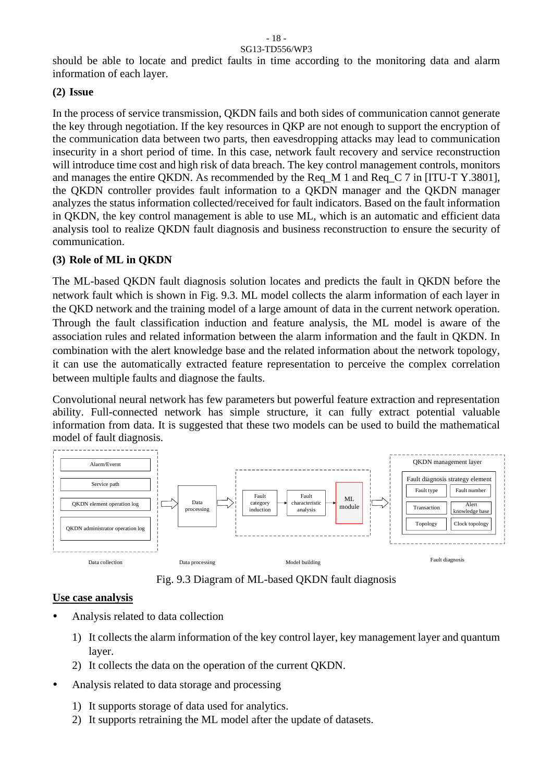should be able to locate and predict faults in time according to the monitoring data and alarm information of each layer.

#### **(2) Issue**

In the process of service transmission, QKDN fails and both sides of communication cannot generate the key through negotiation. If the key resources in QKP are not enough to support the encryption of the communication data between two parts, then eavesdropping attacks may lead to communication insecurity in a short period of time. In this case, network fault recovery and service reconstruction will introduce time cost and high risk of data breach. The key control management controls, monitors and manages the entire QKDN. As recommended by the Req\_M 1 and Req\_C 7 in [ITU-T Y.3801], the QKDN controller provides fault information to a QKDN manager and the QKDN manager analyzes the status information collected/received for fault indicators. Based on the fault information in QKDN, the key control management is able to use ML, which is an automatic and efficient data analysis tool to realize QKDN fault diagnosis and business reconstruction to ensure the security of communication.

#### **(3) Role of ML in QKDN**

The ML-based QKDN fault diagnosis solution locates and predicts the fault in QKDN before the network fault which is shown in Fig. 9.3. ML model collects the alarm information of each layer in the QKD network and the training model of a large amount of data in the current network operation. Through the fault classification induction and feature analysis, the ML model is aware of the association rules and related information between the alarm information and the fault in QKDN. In combination with the alert knowledge base and the related information about the network topology, it can use the automatically extracted feature representation to perceive the complex correlation between multiple faults and diagnose the faults.

Convolutional neural network has few parameters but powerful feature extraction and representation ability. Full-connected network has simple structure, it can fully extract potential valuable information from data. It is suggested that these two models can be used to build the mathematical model of fault diagnosis.



Fig. 9.3 Diagram of ML-based QKDN fault diagnosis

#### **Use case analysis**

- Analysis related to data collection
	- 1) It collects the alarm information of the key control layer, key management layer and quantum layer.
	- 2) It collects the data on the operation of the current QKDN.
- Analysis related to data storage and processing
	- 1) It supports storage of data used for analytics.
	- 2) It supports retraining the ML model after the update of datasets.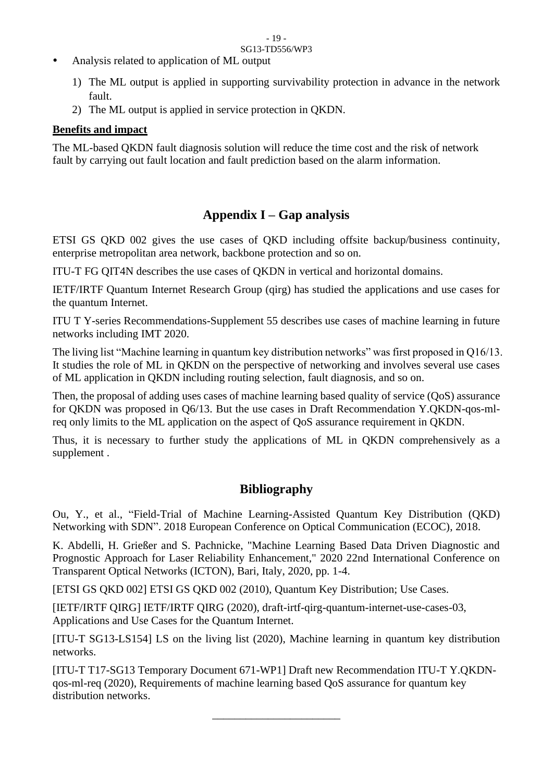- Analysis related to application of ML output
	- 1) The ML output is applied in supporting survivability protection in advance in the network fault.
	- 2) The ML output is applied in service protection in QKDN.

## **Benefits and impact**

The ML-based QKDN fault diagnosis solution will reduce the time cost and the risk of network fault by carrying out fault location and fault prediction based on the alarm information.

# **Appendix I – Gap analysis**

ETSI GS QKD 002 gives the use cases of QKD including offsite backup/business continuity, enterprise metropolitan area network, backbone protection and so on.

ITU-T FG QIT4N describes the use cases of QKDN in vertical and horizontal domains.

IETF/IRTF Quantum Internet Research Group (qirg) has studied the applications and use cases for the quantum Internet.

ITU T Y-series Recommendations-Supplement 55 describes use cases of machine learning in future networks including IMT 2020.

The living list "Machine learning in quantum key distribution networks" was first proposed in Q16/13. It studies the role of ML in QKDN on the perspective of networking and involves several use cases of ML application in QKDN including routing selection, fault diagnosis, and so on.

Then, the proposal of adding uses cases of machine learning based quality of service (QoS) assurance for QKDN was proposed in Q6/13. But the use cases in Draft Recommendation Y.QKDN-qos-mlreq only limits to the ML application on the aspect of QoS assurance requirement in QKDN.

Thus, it is necessary to further study the applications of ML in QKDN comprehensively as a supplement .

# **Bibliography**

Ou, Y., et al., "Field-Trial of Machine Learning-Assisted Quantum Key Distribution (QKD) Networking with SDN". 2018 European Conference on Optical Communication (ECOC), 2018.

K. Abdelli, H. Grießer and S. Pachnicke, "Machine Learning Based Data Driven Diagnostic and Prognostic Approach for Laser Reliability Enhancement," 2020 22nd International Conference on Transparent Optical Networks (ICTON), Bari, Italy, 2020, pp. 1-4.

[ETSI GS QKD 002] ETSI GS QKD 002 (2010), Quantum Key Distribution; Use Cases.

[IETF/IRTF QIRG] IETF/IRTF QIRG (2020), draft-irtf-qirg-quantum-internet-use-cases-03, Applications and Use Cases for the Quantum Internet.

[ITU-T SG13-LS154] LS on the living list (2020), Machine learning in quantum key distribution networks.

[ITU-T T17-SG13 Temporary Document 671-WP1] Draft new Recommendation ITU-T Y.QKDNqos-ml-req (2020), Requirements of machine learning based QoS assurance for quantum key distribution networks.

\_\_\_\_\_\_\_\_\_\_\_\_\_\_\_\_\_\_\_\_\_\_\_